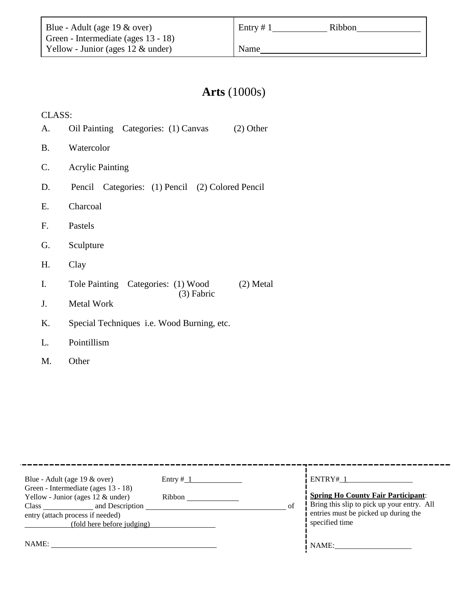Entry  $\# 1$  Ribbon

Name

# **Arts** (1000s)

CLASS:

- A. Oil Painting Categories: (1) Canvas (2) Other
- B. Watercolor
- C. Acrylic Painting
- D. Pencil Categories: (1) Pencil (2) Colored Pencil
- E. Charcoal
- F. Pastels
- G. Sculpture
- H. Clay
- I. Tole Painting Categories: (1) Wood (2) Metal (3) Fabric
- J. Metal Work
- K. Special Techniques i.e. Wood Burning, etc.
- L. Pointillism
- M. Other

| Blue - Adult (age $19 \& over$ )<br>Green - Intermediate (ages 13 - 18)<br>Yellow - Junior (ages $12 \&$ under)<br>and Description<br>Class<br>entry (attach process if needed)<br>(fold here before judging) | Entry $# 1$<br>Ribbon | of | ENTRY# 1<br><b>Spring Ho County Fair Participant:</b><br>Bring this slip to pick up your entry. All<br>entries must be picked up during the<br>specified time |
|---------------------------------------------------------------------------------------------------------------------------------------------------------------------------------------------------------------|-----------------------|----|---------------------------------------------------------------------------------------------------------------------------------------------------------------|
| NAME:                                                                                                                                                                                                         |                       |    | NAME:                                                                                                                                                         |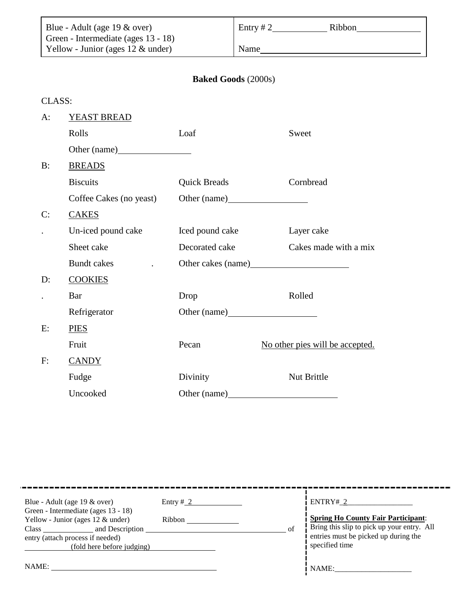| Blue - Adult (age $19 \&$ over)      | Entry # 2<br>Ribbon |
|--------------------------------------|---------------------|
| Green - Intermediate (ages 13 - 18)  |                     |
| Yellow - Junior (ages $12 \&$ under) | Name                |

# **Baked Goods** (2000s)

| LASS |
|------|
|------|

| $A$ : | YEAST BREAD             |                     |                                 |
|-------|-------------------------|---------------------|---------------------------------|
|       | Rolls                   | Loaf                | Sweet                           |
|       |                         |                     |                                 |
| B:    | <b>BREADS</b>           |                     |                                 |
|       | <b>Biscuits</b>         | <b>Quick Breads</b> | Cornbread                       |
|       | Coffee Cakes (no yeast) |                     |                                 |
| C:    | <b>CAKES</b>            |                     |                                 |
|       | Un-iced pound cake      | Iced pound cake     | Layer cake                      |
|       | Sheet cake              | Decorated cake      | Cakes made with a mix           |
|       | <b>Bundt</b> cakes      |                     |                                 |
| D:    | <b>COOKIES</b>          |                     |                                 |
|       | Bar                     | Drop                | Rolled                          |
|       | Refrigerator            | Other (name)        |                                 |
| E:    | <b>PIES</b>             |                     |                                 |
|       | Fruit                   | Pecan               | No other pies will be accepted. |
| F:    | <b>CANDY</b>            |                     |                                 |
|       | Fudge                   | Divinity            | Nut Brittle                     |
|       | Uncooked                | Other (name)        |                                 |

| Blue - Adult (age 19 & over)<br>Green - Intermediate (ages 13 - 18)<br>Yellow - Junior (ages $12 \&$ under)<br>and Description<br><b>Class</b><br>entry (attach process if needed)<br>(fold here before judging) | Entry $\frac{\# 2}{\# 2}$<br>Ribbon | ENTRY# 2<br><b>Spring Ho County Fair Participant:</b><br>Bring this slip to pick up your entry. All<br>entries must be picked up during the<br>specified time |
|------------------------------------------------------------------------------------------------------------------------------------------------------------------------------------------------------------------|-------------------------------------|---------------------------------------------------------------------------------------------------------------------------------------------------------------|
| NAME:                                                                                                                                                                                                            |                                     | NAME:                                                                                                                                                         |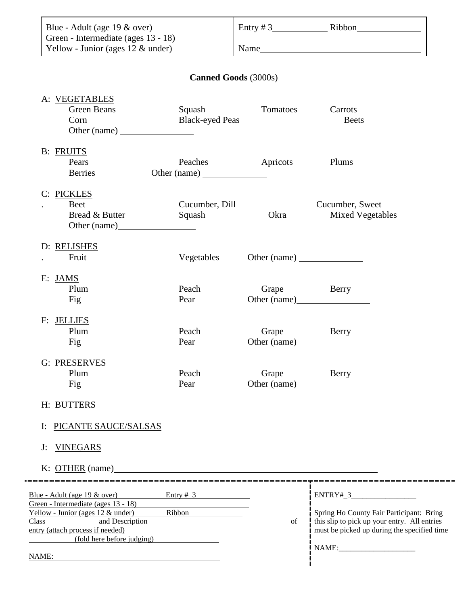| Blue - Adult (age $19 \&$ over)                                                                                                                                                                                                                                    |                                   |             | Entry $\# 3$ Ribbon                                                                                                                                   |
|--------------------------------------------------------------------------------------------------------------------------------------------------------------------------------------------------------------------------------------------------------------------|-----------------------------------|-------------|-------------------------------------------------------------------------------------------------------------------------------------------------------|
| Green - Intermediate (ages 13 - 18)<br>Yellow - Junior (ages 12 & under)                                                                                                                                                                                           |                                   |             |                                                                                                                                                       |
|                                                                                                                                                                                                                                                                    | <b>Canned Goods (3000s)</b>       |             |                                                                                                                                                       |
| A: VEGETABLES<br><b>Green Beans</b><br>Corn<br>Other (name)                                                                                                                                                                                                        | Squash<br><b>Black-eyed Peas</b>  | Tomatoes    | Carrots<br><b>Beets</b>                                                                                                                               |
| <b>B:</b> FRUITS<br>Pears<br><b>Berries</b>                                                                                                                                                                                                                        | Peaches                           | Apricots    | Plums                                                                                                                                                 |
| C: PICKLES<br><b>Beet</b><br>Bread & Butter<br>Other (name)                                                                                                                                                                                                        | Cucumber, Dill<br>Squash          | Okra        | Cucumber, Sweet<br><b>Mixed Vegetables</b>                                                                                                            |
| D: RELISHES<br>Fruit                                                                                                                                                                                                                                               | Vegetables                        |             |                                                                                                                                                       |
| E: JAMS<br>Plum<br>Fig                                                                                                                                                                                                                                             | Peach<br>Pear                     | Grape Berry |                                                                                                                                                       |
| F: JELLIES<br>Plum<br>Fig                                                                                                                                                                                                                                          | Peach<br>Pear                     | Grape       | Berry<br>Other (name)                                                                                                                                 |
| G: PRESERVES<br>Plum<br>Fig                                                                                                                                                                                                                                        | Peach<br>Pear                     | Grape       | Berry                                                                                                                                                 |
| H: BUTTERS                                                                                                                                                                                                                                                         |                                   |             |                                                                                                                                                       |
| PICANTE SAUCE/SALSAS<br>I:                                                                                                                                                                                                                                         |                                   |             |                                                                                                                                                       |
| <b>VINEGARS</b><br>$J$ :<br>$K: \overline{OTHER}$ (name) and the set of the set of the set of the set of the set of the set of the set of the set of the set of the set of the set of the set of the set of the set of the set of the set of the set of the set of |                                   |             |                                                                                                                                                       |
| Blue - Adult (age $19 \&over$ over) Entry # 3<br>Green - Intermediate (ages 13 - 18)<br>Yellow - Junior (ages $12 \&$ under)<br>Class and Description<br>entry (attach process if needed)<br>(fold here before judging)<br>NAME:                                   | -----------------------<br>Ribbon | of          | $ENTRY#_3$<br>Spring Ho County Fair Participant: Bring<br>this slip to pick up your entry. All entries<br>must be picked up during the specified time |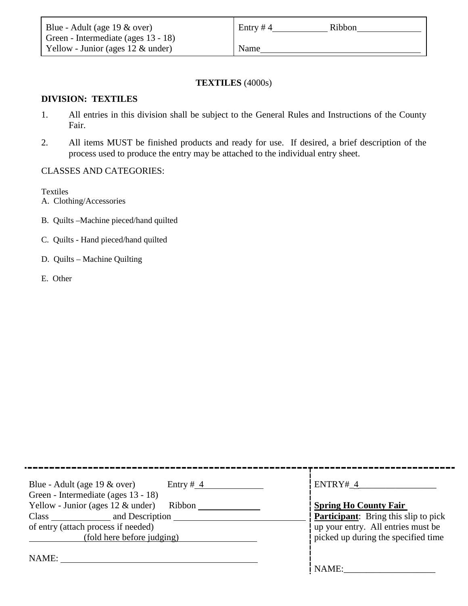| Blue - Adult (age $19 \& over$ )     | Entry #4<br>Ribbon |
|--------------------------------------|--------------------|
| Green - Intermediate (ages 13 - 18)  |                    |
| Yellow - Junior (ages $12 \&$ under) | Name               |

#### **TEXTILES** (4000s)

### **DIVISION: TEXTILES**

- 1. All entries in this division shall be subject to the General Rules and Instructions of the County Fair.
- 2. All items MUST be finished products and ready for use. If desired, a brief description of the process used to produce the entry may be attached to the individual entry sheet.

#### CLASSES AND CATEGORIES:

Textiles

- A. Clothing/Accessories
- B. Quilts –Machine pieced/hand quilted
- C. Quilts Hand pieced/hand quilted
- D. Quilts Machine Quilting
- E. Other

| Blue - Adult (age $19 \& over$ )<br>Entry # $4$<br>Green - Intermediate (ages 13 - 18) | ENTRY# 4                                    |
|----------------------------------------------------------------------------------------|---------------------------------------------|
| Yellow - Junior (ages $12 \&$ under)<br>Ribbon                                         | <b>Spring Ho County Fair</b>                |
| and Description<br><b>Class</b>                                                        | <b>Participant:</b> Bring this slip to pick |
| of entry (attach process if needed)                                                    | up your entry. All entries must be          |
| (fold here before judging)                                                             | picked up during the specified time         |
| NAME:                                                                                  |                                             |
|                                                                                        | NAME:                                       |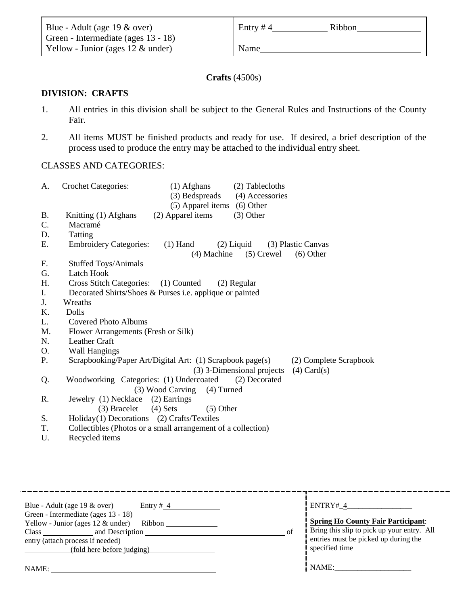| Blue - Adult (age $19 \& over$ )     | Entry #4 | Ribbon |
|--------------------------------------|----------|--------|
| Green - Intermediate (ages 13 - 18)  |          |        |
| Yellow - Junior (ages $12 \&$ under) | Name     |        |

## **Crafts** (4500s)

### **DIVISION: CRAFTS**

- 1. All entries in this division shall be subject to the General Rules and Instructions of the County Fair.
- 2. All items MUST be finished products and ready for use. If desired, a brief description of the process used to produce the entry may be attached to the individual entry sheet.

# CLASSES AND CATEGORIES:

| A.        | (2) Tablecloths<br><b>Crochet Categories:</b><br>$(1)$ Afghans<br>(3) Bedspreads<br>(4) Accessories                                   |
|-----------|---------------------------------------------------------------------------------------------------------------------------------------|
|           | (5) Apparel items (6) Other                                                                                                           |
| <b>B.</b> | (2) Apparel items<br>$(3)$ Other<br>Knitting (1) Afghans                                                                              |
| C.        | Macramé                                                                                                                               |
| D.        | Tatting                                                                                                                               |
| Ε.        | <b>Embroidery Categories:</b><br>$(1)$ Hand<br>$(2)$ Liquid<br>(3) Plastic Canvas                                                     |
|           | (4) Machine<br>$(5)$ Crewel<br>$(6)$ Other                                                                                            |
| F.        | <b>Stuffed Toys/Animals</b>                                                                                                           |
| G.        | Latch Hook                                                                                                                            |
| H.        | Cross Stitch Categories: (1) Counted<br>$(2)$ Regular                                                                                 |
| I.        | Decorated Shirts/Shoes & Purses <i>i.e.</i> applique or painted                                                                       |
| J.        | Wreaths                                                                                                                               |
| K.        | Dolls                                                                                                                                 |
| L.        | Covered Photo Albums                                                                                                                  |
| M.        | Flower Arrangements (Fresh or Silk)                                                                                                   |
| N.        | <b>Leather Craft</b>                                                                                                                  |
| Ο.        | <b>Wall Hangings</b>                                                                                                                  |
| Ρ.        | Scrapbooking/Paper Art/Digital Art: (1) Scrapbook page(s)<br>(2) Complete Scrapbook<br>(3) 3-Dimensional projects<br>$(4)$ Card $(s)$ |
| Q.        | Woodworking Categories: (1) Undercoated<br>(2) Decorated                                                                              |
|           | (3) Wood Carving<br>$(4)$ Turned                                                                                                      |
| R.        | Jewelry (1) Necklace (2) Earrings                                                                                                     |
|           | $(4)$ Sets<br>(3) Bracelet<br>$(5)$ Other                                                                                             |
| S.        | Holiday(1) Decorations (2) Crafts/Textiles                                                                                            |
| T.        | Collectibles (Photos or a small arrangement of a collection)                                                                          |
| U.        | Recycled items                                                                                                                        |
|           |                                                                                                                                       |

| Blue - Adult (age $19 \& over$ )<br>Green - Intermediate (ages 13 - 18)<br>Yellow - Junior (ages $12 \&$ under)<br>and Description _<br>Class and the contract of the contract of the contract of the contract of the contract of the contract of the contract of the contract of the contract of the contract of the contract of the contract of the contract of the<br>entry (attach process if needed)<br>(fold here before judging) | Entry $# 4$<br>Ribbon | of | ENTRY# 4<br><b>Spring Ho County Fair Participant:</b><br>Bring this slip to pick up your entry. All<br>entries must be picked up during the<br>specified time |
|-----------------------------------------------------------------------------------------------------------------------------------------------------------------------------------------------------------------------------------------------------------------------------------------------------------------------------------------------------------------------------------------------------------------------------------------|-----------------------|----|---------------------------------------------------------------------------------------------------------------------------------------------------------------|
| NAME:                                                                                                                                                                                                                                                                                                                                                                                                                                   |                       |    | NAME:                                                                                                                                                         |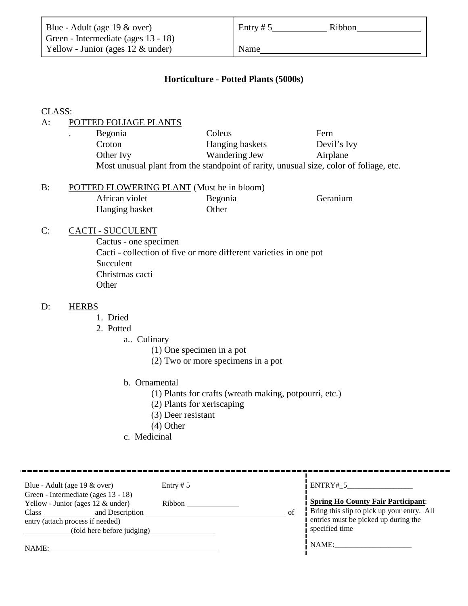| Blue - Adult (age $19 \& over$ )     | Entry # $5$ | Ribbon |
|--------------------------------------|-------------|--------|
| Green - Intermediate (ages 13 - 18)  |             |        |
| Yellow - Junior (ages $12 \&$ under) | Name        |        |

#### **Horticulture** - **Potted Plants (5000s)**

#### CLASS:

### A: POTTED FOLIAGE PLANTS

| $\bullet$ | Begonia                                                                                | Coleus          | Fern        |  |  |
|-----------|----------------------------------------------------------------------------------------|-----------------|-------------|--|--|
|           | Croton                                                                                 | Hanging baskets | Devil's Ivy |  |  |
|           | Other Ivy                                                                              | Wandering Jew   | Airplane    |  |  |
|           | Most unusual plant from the standpoint of rarity, unusual size, color of foliage, etc. |                 |             |  |  |

#### B: POTTED FLOWERING PLANT (Must be in bloom) African violet Begonia Geranium Hanging basket Other

#### C: CACTI - SUCCULENT

Cactus - one specimen Cacti - collection of five or more different varieties in one pot **Succulent** Christmas cacti **Other** 

#### D: HERBS

- 1. Dried
- 2. Potted
	- a.. Culinary
		- (1) One specimen in a pot
		- (2) Two or more specimens in a pot
	- b. Ornamental
		- (1) Plants for crafts (wreath making, potpourri, etc.)
		- (2) Plants for xeriscaping
		- (3) Deer resistant
		- (4) Other
	- c. Medicinal

| Blue - Adult (age $19 \& over$ )<br>Green - Intermediate (ages 13 - 18)<br>Yellow - Junior (ages $12 \&$ under)<br>and Description<br>Class<br>entry (attach process if needed)<br>(fold here before judging) | Entry $# 5$<br>Ribbon<br>of | ENTRY# 5<br><b>Spring Ho County Fair Participant:</b><br>Bring this slip to pick up your entry. All<br>entries must be picked up during the<br>specified time |
|---------------------------------------------------------------------------------------------------------------------------------------------------------------------------------------------------------------|-----------------------------|---------------------------------------------------------------------------------------------------------------------------------------------------------------|
| NAME:                                                                                                                                                                                                         |                             | NAME:                                                                                                                                                         |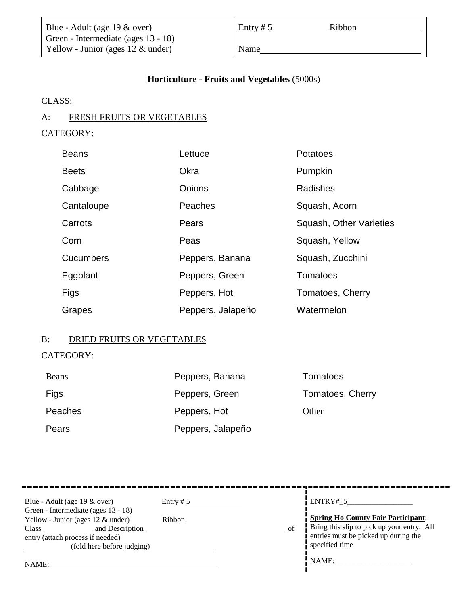| Blue - Adult (age $19 \& over$ )     | Entry # $5$<br>Ribbon |  |
|--------------------------------------|-----------------------|--|
| Green - Intermediate (ages 13 - 18)  |                       |  |
| Yellow - Junior (ages $12 \&$ under) | Name                  |  |

### **Horticulture - Fruits and Vegetables** (5000s)

CLASS:

# A: FRESH FRUITS OR VEGETABLES

# CATEGORY:

| <b>Beans</b>     | Lettuce           | Potatoes                |
|------------------|-------------------|-------------------------|
| <b>Beets</b>     | Okra              | Pumpkin                 |
| Cabbage          | <b>Onions</b>     | <b>Radishes</b>         |
| Cantaloupe       | Peaches           | Squash, Acorn           |
| Carrots          | Pears             | Squash, Other Varieties |
| Corn             | Peas              | Squash, Yellow          |
| <b>Cucumbers</b> | Peppers, Banana   | Squash, Zucchini        |
| Eggplant         | Peppers, Green    | Tomatoes                |
| Figs             | Peppers, Hot      | Tomatoes, Cherry        |
| Grapes           | Peppers, Jalapeño | Watermelon              |

## B: DRIED FRUITS OR VEGETABLES

# CATEGORY:

| <b>Beans</b> | Peppers, Banana   | Tomatoes         |
|--------------|-------------------|------------------|
| Figs         | Peppers, Green    | Tomatoes, Cherry |
| Peaches      | Peppers, Hot      | Other            |
| Pears        | Peppers, Jalapeño |                  |

| Blue - Adult (age $19 \& over$ )<br>Green - Intermediate (ages 13 - 18)<br>Yellow - Junior (ages $12 \&$ under)<br>and Description<br>Class and the contract of the contract of the contract of the contract of the contract of the contract of the contract of the contract of the contract of the contract of the contract of the contract of the contract of the<br>entry (attach process if needed)<br>(fold here before judging) | Entry # $5$<br>Ribbon | of | ENTRY# 5<br><b>Spring Ho County Fair Participant:</b><br>Bring this slip to pick up your entry. All<br>entries must be picked up during the<br>specified time |
|---------------------------------------------------------------------------------------------------------------------------------------------------------------------------------------------------------------------------------------------------------------------------------------------------------------------------------------------------------------------------------------------------------------------------------------|-----------------------|----|---------------------------------------------------------------------------------------------------------------------------------------------------------------|
| NAME:                                                                                                                                                                                                                                                                                                                                                                                                                                 |                       |    | NAME:                                                                                                                                                         |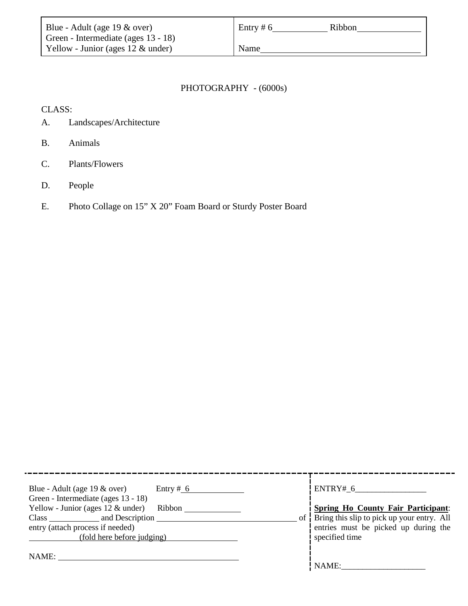| Blue - Adult (age $19 \& over$ )     | Entry # $6$ | Ribbon |
|--------------------------------------|-------------|--------|
| Green - Intermediate (ages 13 - 18)  |             |        |
| Yellow - Junior (ages $12 \&$ under) | Name        |        |

# PHOTOGRAPHY - (6000s)

CLASS:

- A. Landscapes/Architecture
- B. Animals
- C. Plants/Flowers
- D. People
- E. Photo Collage on 15" X 20" Foam Board or Sturdy Poster Board

| Blue - Adult (age $19 \& over$ )<br>Entry # $6$<br>Green - Intermediate (ages 13 - 18)<br>Yellow - Junior (ages $12 \&$ under)<br>Ribbon | ENTRY# 6<br><b>Spring Ho County Fair Participant:</b>                                                   |
|------------------------------------------------------------------------------------------------------------------------------------------|---------------------------------------------------------------------------------------------------------|
| and Description<br>entry (attach process if needed)<br>(fold here before judging)                                                        | of Bring this slip to pick up your entry. All<br>entries must be picked up during the<br>specified time |
| NAME:                                                                                                                                    | NAME:                                                                                                   |